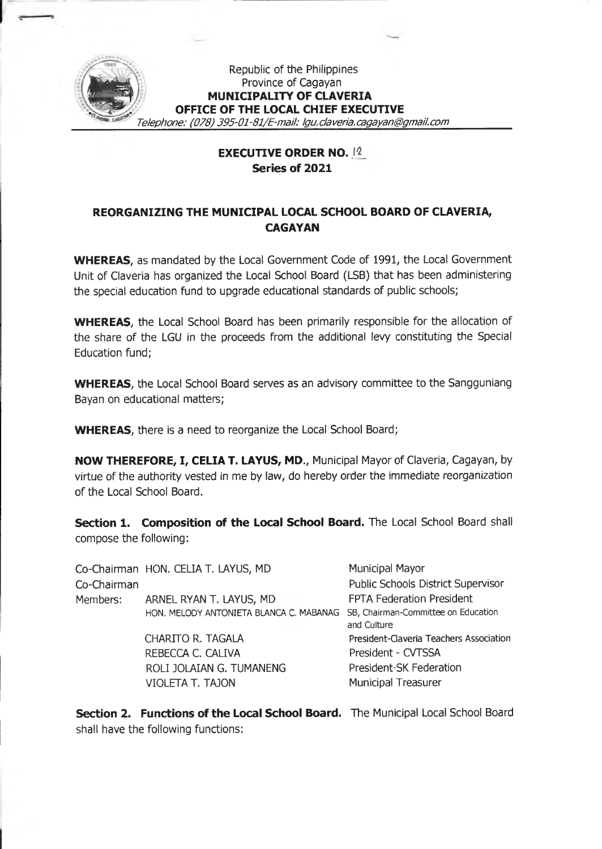

## Republic of the Philippines Province of Cagayan MUNICIPALITY OF CLAVERIA OFFICE OF THE LOCAL CHIEF EXECUTIVE

Telephone: (078) 395-01-81/E-mail: Igu.claveria.cagayan@gmail.com

## -tm. *Telephone: (078) 395-01* **EXECUTIVE** *-81/E-mait:* **ORDER** *Igu.claveria.* **NO. .12***cagayan@gmail.com* **Series of 2021**

## **REORGANIZING THE MUNICIPAL LOCAL SCHOOL BOARD OF CLAVERIA, CAGAYAN**

**WHEREAS,** as mandated by the Local Government Code of 1991, the Local Government Unit of Claveria has organized the Local School Board (LSB) that has been administering the special education fund to upgrade educational standards of public schools;

**WHEREAS,** the Local School Board has been primarily responsible for the allocation of the share of the LGU in the proceeds from the additional levy constituting the Special Education fund;

**WHEREAS,** the Local School Board serves as an advisory committee to the Sangguniang Bayan on educational matters;

**WHEREAS,** there is a need to reorganize the Local School Board;

**NOW THEREFORE, I, CELIA T. LAYUS, MD.,** Municipal Mayor of Claveria, Cagayan, by virtue of the authority vested in me by law, do hereby order the immediate reorganization of the Local School Board.

**Section 1. Composition of the Local School Board.** The Local School Board shall compose the following:

|             | Co-Chairman HON. CELIA T. LAYUS, MD     | Municipal Mayor                                    |
|-------------|-----------------------------------------|----------------------------------------------------|
| Co-Chairman |                                         | Public Schools District Supervisor                 |
| Members:    | ARNEL RYAN T. LAYUS, MD                 | FPTA Federation President                          |
|             | HON. MELODY ANTONIETA BLANCA C. MABANAG | SB, Chairman-Committee on Education<br>and Culture |
|             | <b>CHARITO R. TAGALA</b>                | President-Claveria Teachers Association            |
|             | REBECCA C. CALIVA                       | President - CVTSSA                                 |
|             | ROLI JOLAIAN G. TUMANENG                | President-SK Federation                            |
|             | <b>VIOLETA T. TAJON</b>                 | <b>Municipal Treasurer</b>                         |

**Section 2. Functions of the Local School Board.** The Municipal Local School Board shall have the following functions: